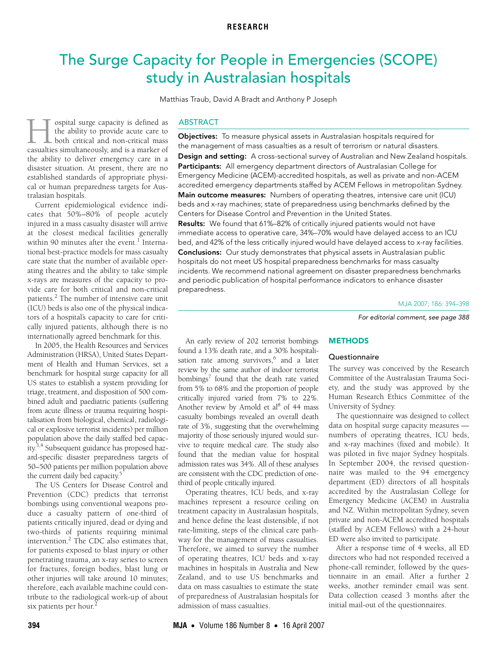# <span id="page-0-0"></span>The Surge Capacity for People in Emergencies (SCOPE) study in Australasian hospitals

Matthias Traub, David A Bradt and Anthony P Joseph

An early review of 202 terrorist bombings found a 13% death rate, and a 30% hospitali-sation rate among survivors,<sup>[6](#page-4-5)</sup> and a later review by the same author of indoor terrorist bombings<sup>7</sup> found that the death rate varied from 5% to 68% and the proportion of people critically injured varied from 7% to 22%. Another review by Arnold et al<sup>8</sup> of 44 mass casualty bombings revealed an overall death rate of 3%, suggesting that the overwhelming majority of those seriously injured would survive to require medical care. The study also found that the median value for hospital admission rates was 34%. All of these analyses are consistent with the CDC prediction of one-

cal or human preparedness targets for Aus-1.003 1.003 1.003 1.003 1.003 1.003 1.003 1.003 1.003 1.003 1.003 1.003 1.003 1.003 1.003 1.003 1.00 ospital surge capacity is defined as the ability to provide acute care to  $\blacksquare$  both critical and non-critical mass **CONTEGNS** of the ability to provide acute care to both critical and non-critical mass casualties simultaneously, and is a marker of the ability to deliver emergency care in a disaster situation. At present, there are no established standards of appropriate physitralasian hospitals.

Current epidemiological evidence indicates that 50%–80% of people acutely injured in a mass casualty disaster will arrive at the closest medical facilities generally within 90 minutes after the event.<sup>[1](#page-4-0)</sup> International best-practice models for mass casualty care state that the number of available operating theatres and the ability to take simple x-rays are measures of the capacity to provide care for both critical and non-critical patients.<sup>2</sup> The number of intensive care unit (ICU) beds is also one of the physical indicators of a hospital's capacity to care for critically injured patients, although there is no internationally agreed benchmark for this.

In 2005, the Health Resources and Services Administration (HRSA), United States Department of Health and Human Services, set a benchmark for hospital surge capacity for all US states to establish a system providing for triage, treatment, and disposition of 500 combined adult and paediatric patients (suffering from acute illness or trauma requiring hospitalisation from biological, chemical, radiological or explosive terrorist incidents) per million population above the daily staffed bed capacity[.3,](#page-4-2)[4](#page-4-3) Subsequent guidance has proposed hazard-specific disaster preparedness targets of 50–500 patients per million population above the current daily bed capacity.<sup>[5](#page-4-4)</sup>

The US Centers for Disease Control and Prevention (CDC) predicts that terrorist bombings using conventional weapons produce a casualty pattern of one-third of patients critically injured, dead or dying and two-thirds of patients requiring minimal intervention.<sup>[2](#page-4-1)</sup> The CDC also estimates that, for patients exposed to blast injury or other penetrating trauma, an x-ray series to screen for fractures, foreign bodies, blast lung or other injuries will take around 10 minutes; therefore, each available machine could contribute to the radiological work-up of about six patients per hour.<sup>2</sup>

## ABSTRACT

Objectives: To measure physical assets in Australasian hospitals required for the management of mass casualties as a result of terrorism or natural disasters.

Design and setting: A cross-sectional survey of Australian and New Zealand hospitals. Participants: All emergency department directors of Australasian College for Emergency Medicine (ACEM)-accredited hospitals, as well as private and non-ACEM accredited emergency departments staffed by ACEM Fellows in metropolitan Sydney. Main outcome measures: Numbers of operating theatres, intensive care unit (ICU) beds and x-ray machines; state of preparedness using benchmarks defined by the

Centers for Disease Control and Prevention in the United States. Results: We found that 61%–82% of critically injured patients would not have

immediate access to operative care, 34%–70% would have delayed access to an ICU bed, and 42% of the less critically injured would have delayed access to x-ray facilities.

Conclusions: Our study demonstrates that physical assets in Australasian public hospitals do not meet US hospital preparedness benchmarks for mass casualty incidents. We recommend national agreement on disaster preparedness benchmarks and periodic publication of hospital performance indicators to enhance disaster preparedness.

For editorial comment, see page 388

# **METHODS**

## **Questionnaire**

The survey was conceived by the Research Committee of the Australasian Trauma Society, and the study was approved by the Human Research Ethics Committee of the University of Sydney.

The questionnaire was designed to collect data on hospital surge capacity measures numbers of operating theatres, ICU beds, and x-ray machines (fixed and mobile). It was piloted in five major Sydney hospitals. In September 2004, the revised questionnaire was mailed to the 94 emergency department (ED) directors of all hospitals accredited by the Australasian College for Emergency Medicine (ACEM) in Australia and NZ. Within metropolitan Sydney, seven private and non-ACEM accredited hospitals (staffed by ACEM Fellows) with a 24-hour ED were also invited to participate.

After a response time of 4 weeks, all ED directors who had not responded received a phone-call reminder, followed by the questionnaire in an email. After a further 2 weeks, another reminder email was sent. Data collection ceased 3 months after the initial mail-out of the questionnaires.

third of people critically injured.

admission of mass casualties.

Operating theatres, ICU beds, and x-ray machines represent a resource ceiling on treatment capacity in Australasian hospitals, and hence define the least distensible, if not rate-limiting, steps of the clinical care pathway for the management of mass casualties. Therefore, we aimed to survey the number of operating theatres, ICU beds and x-ray machines in hospitals in Australia and New Zealand, and to use US benchmarks and data on mass casualties to estimate the state of preparedness of Australasian hospitals for

MJA 2007; 186: 394–398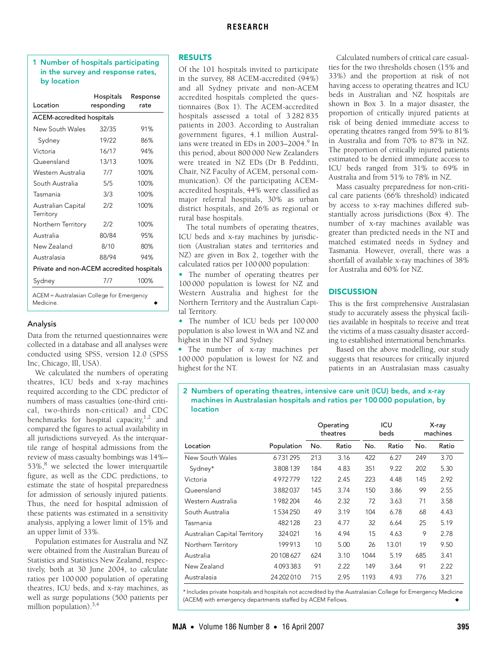# <span id="page-1-0"></span>1 Number of hospitals participating in the survey and response rates, by location

| Location                                               | Hospitals<br>responding | Response<br>rate |  |  |  |  |
|--------------------------------------------------------|-------------------------|------------------|--|--|--|--|
| ACEM-accredited hospitals                              |                         |                  |  |  |  |  |
| New South Wales                                        | 32/35                   | 91%              |  |  |  |  |
| Sydney                                                 | 19/22                   | 86%              |  |  |  |  |
| Victoria                                               | 16/17                   | 94%              |  |  |  |  |
| Queensland                                             | 13/13                   | 100%             |  |  |  |  |
| Western Australia                                      | 7/7                     | 100%             |  |  |  |  |
| South Australia                                        | 5/5                     | 100%             |  |  |  |  |
| Tasmania                                               | 3/3                     | 100%             |  |  |  |  |
| Australian Capital<br>Territory                        | 2/2                     | 100%             |  |  |  |  |
| Northern Territory                                     | 2/2                     | 100%             |  |  |  |  |
| Australia                                              | 80/84                   | 95%              |  |  |  |  |
| New Zealand                                            | 8/10                    | 80%              |  |  |  |  |
| Australasia                                            | 88/94                   | 94%              |  |  |  |  |
| Private and non-ACEM accredited hospitals              |                         |                  |  |  |  |  |
| Sydney                                                 | 7/7                     | 100%             |  |  |  |  |
| ACEM = Australasian College for Emergency<br>Medicine. |                         |                  |  |  |  |  |

## Analysis

Data from the returned questionnaires were collected in a database and all analyses were conducted using SPSS, version 12.0 (SPSS Inc, Chicago, Ill, USA).

We calculated the numbers of operating theatres, ICU beds and x-ray machines required according to the CDC predictor of numbers of mass casualties (one-third critical, two-thirds non-critical) and CDC benchmarks for hospital capacity, $1,2$  $1,2$  $1,2$  and compared the figures to actual availability in all jurisdictions surveyed. As the interquartile range of hospital admissions from the review of mass casualty bombings was 14%– 53%,<sup>[8](#page-4-7)</sup> we selected the lower interquartile figure, as well as the CDC predictions, to estimate the state of hospital preparedness for admission of seriously injured patients. Thus, the need for hospital admission of these patients was estimated in a sensitivity analysis, applying a lower limit of 15% and an upper limit of 33%.

Population estimates for Australia and NZ were obtained from the Australian Bureau of Statistics and Statistics New Zealand, respectively, both at 30 June 2004, to calculate ratios per 100 000 population of operating theatres, ICU beds, and x-ray machines, as well as surge populations (500 patients per million population). $3,4$  $3,4$  $3,4$ 

# RESULTS

Of the 101 hospitals invited to participate in the survey, 88 ACEM-accredited (94%) and all Sydney private and non-ACEM accredited hospitals completed the questionnaires [\(Box 1](#page-1-0)). The ACEM-accredited hospitals assessed a total of 3 282 835 patients in 2003. According to Australian government figures, 4.1 million Austral-ians were treated in EDs in 2003–2004.<sup>[9](#page-4-9)</sup> In this period, about 800 000 New Zealanders were treated in NZ EDs (Dr B Peddinti, Chair, NZ Faculty of ACEM, personal communication). Of the participating ACEMaccredited hospitals, 44% were classified as major referral hospitals, 30% as urban district hospitals, and 26% as regional or rural base hospitals.

The total numbers of operating theatres, ICU beds and x-ray machines by jurisdiction (Australian states and territories and NZ) are given in [Box 2,](#page-1-1) together with the calculated ratios per 100 000 population:

• The number of operating theatres per 100 000 population is lowest for NZ and Western Australia and highest for the Northern Territory and the Australian Capital Territory.

• The number of ICU beds per 100 000 population is also lowest in WA and NZ and highest in the NT and Sydney.

• The number of x-ray machines per 100 000 population is lowest for NZ and highest for the NT.

Calculated numbers of critical care casualties for the two thresholds chosen (15% and 33%) and the proportion at risk of not having access to operating theatres and ICU beds in Australian and NZ hospitals are shown in [Box 3.](#page-2-0) In a major disaster, the proportion of critically injured patients at risk of being denied immediate access to operating theatres ranged from 59% to 81% in Australia and from 70% to 87% in NZ. The proportion of critically injured patients estimated to be denied immediate access to ICU beds ranged from 31% to 69% in Australia and from 51% to 78% in NZ.

Mass casualty preparedness for non-critical care patients (66% threshold) indicated by access to x-ray machines differed substantially across jurisdictions ([Box 4](#page-2-1)). The number of x-ray machines available was greater than predicted needs in the NT and matched estimated needs in Sydney and Tasmania. However, overall, there was a shortfall of available x-ray machines of 38% for Australia and 60% for NZ.

# **DISCUSSION**

This is the first comprehensive Australasian study to accurately assess the physical facilities available in hospitals to receive and treat the victims of a mass casualty disaster according to established international benchmarks.

Based on the above modelling, our study suggests that resources for critically injured patients in an Australasian mass casualty

### <span id="page-1-1"></span>2 Numbers of operating theatres, intensive care unit (ICU) beds, and x-ray machines in Australasian hospitals and ratios per 100 000 population, by location

|                              |            | Operating<br>theatres |       |      | ICU<br>beds |     | X-ray<br>machines |  |
|------------------------------|------------|-----------------------|-------|------|-------------|-----|-------------------|--|
| Location                     | Population | No.                   | Ratio | No.  | Ratio       | No. | Ratio             |  |
| New South Wales              | 6731295    | 213                   | 3.16  | 422  | 6.27        | 249 | 3.70              |  |
| Sydney*                      | 3808139    | 184                   | 4.83  | 351  | 9.22        | 202 | 5.30              |  |
| Victoria                     | 4972779    | 122                   | 2.45  | 223  | 4.48        | 145 | 2.92              |  |
| Queensland                   | 3882037    | 145                   | 3.74  | 150  | 3.86        | 99  | 2.55              |  |
| Western Australia            | 1982204    | 46                    | 2.32  | 72   | 3.63        | 71  | 3.58              |  |
| South Australia              | 1534250    | 49                    | 3.19  | 104  | 6.78        | 68  | 4.43              |  |
| Tasmania                     | 482128     | 23                    | 4.77  | 32   | 6.64        | 25  | 5.19              |  |
| Australian Capital Territory | 324021     | 16                    | 4.94  | 15   | 4.63        | 9   | 2.78              |  |
| Northern Territory           | 199913     | 10                    | 5.00  | 26   | 13.01       | 19  | 9.50              |  |
| Australia                    | 20 108 627 | 624                   | 3.10  | 1044 | 5.19        | 685 | 3.41              |  |
| New Zealand                  | 4093383    | 91                    | 2.22  | 149  | 3.64        | 91  | 2.22              |  |
| Australasia                  | 24 202 010 | 715                   | 2.95  | 1193 | 4.93        | 776 | 3.21              |  |

\* Includes private hospitals and hospitals not accredited by the Australasian College for Emergency Medicine (ACEM) with emergency departments staffed by ACEM Fellows.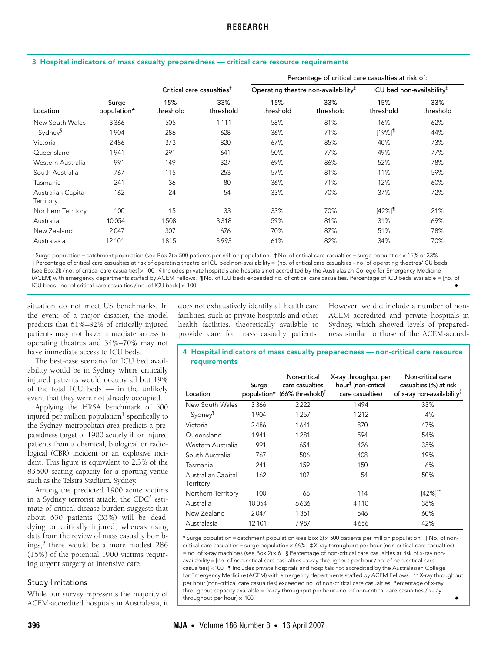|                                 |                      |                                       |                  | Percentage of critical care casualties at risk of: |                  |                                     |                  |
|---------------------------------|----------------------|---------------------------------------|------------------|----------------------------------------------------|------------------|-------------------------------------|------------------|
|                                 |                      | Critical care casualties <sup>†</sup> |                  | Operating theatre non-availability $‡$             |                  | ICU bed non-availability $\ddagger$ |                  |
| Location                        | Surge<br>population* | 15%<br>threshold                      | 33%<br>threshold | 15%<br>threshold                                   | 33%<br>threshold | 15%<br>threshold                    | 33%<br>threshold |
| New South Wales                 | 3366                 | 505                                   | 1111             | 58%                                                | 81%              | 16%                                 | 62%              |
| Sydney <sup>§</sup>             | 1904                 | 286                                   | 628              | 36%                                                | 71%              | $[19\%]$ <sup>1</sup>               | 44%              |
| Victoria                        | 2486                 | 373                                   | 820              | 67%                                                | 85%              | 40%                                 | 73%              |
| Queensland                      | 1941                 | 291                                   | 641              | 50%                                                | 77%              | 49%                                 | 77%              |
| Western Australia               | 991                  | 149                                   | 327              | 69%                                                | 86%              | 52%                                 | 78%              |
| South Australia                 | 767                  | 115                                   | 253              | 57%                                                | 81%              | 11%                                 | 59%              |
| Tasmania                        | 241                  | 36                                    | 80               | 36%                                                | 71%              | 12%                                 | 60%              |
| Australian Capital<br>Territory | 162                  | 24                                    | 54               | 33%                                                | 70%              | 37%                                 | 72%              |
| Northern Territory              | 100                  | 15                                    | 33               | 33%                                                | 70%              | $[42\%]$ <sup>1</sup>               | 21%              |
| Australia                       | 10054                | 1508                                  | 3318             | 59%                                                | 81%              | 31%                                 | 69%              |
| New Zealand                     | 2047                 | 307                                   | 676              | 70%                                                | 87%              | 51%                                 | 78%              |
| Australasia                     | 12101                | 1815                                  | 3993             | 61%                                                | 82%              | 34%                                 | 70%              |

# <span id="page-2-0"></span>3 Hospital indicators of mass casualty preparedness — critical care resource requirements

\*Surge population = catchment population (see [Box 2](#page-1-1)) × 500 patients per million population. †No. of critical care casualties = surge population × 15% or 33%. ‡ Percentage of critical care casualties at risk of operating theatre or ICU bed non-availability = [(no. of critical care casualties -no. of operating theatres/ICU beds [see [Box 2\]](#page-1-1))/no. of critical care casualties]× 100. §Includes private hospitals and hospitals not accredited by the Australasian College for Emergency Medicine (ACEM) with emergency departments staffed by ACEM Fellows. ¶No. of ICU beds exceeded no. of critical care casualties. Percentage of ICU beds available = [no. of ICU beds -no. of critical care casualties  $/$  no. of ICU beds $\times$  100.  $100.$   $\bullet$ 

situation do not meet US benchmarks. In the event of a major disaster, the model predicts that 61%–82% of critically injured patients may not have immediate access to operating theatres and 34%–70% may not have immediate access to ICU beds.

The best-case scenario for ICU bed availability would be in Sydney where critically injured patients would occupy all but 19% of the total ICU beds — in the unlikely event that they were not already occupied.

Applying the HRSA benchmark of 500 injured per million population $4$  specifically to the Sydney metropolitan area predicts a preparedness target of 1900 acutely ill or injured patients from a chemical, biological or radiological (CBR) incident or an explosive incident. This figure is equivalent to 2.3% of the 83500 seating capacity for a sporting venue such as the Telstra Stadium, Sydney.

Among the predicted 1900 acute victims in a Sydney terrorist attack, the  $CDC<sup>2</sup>$  estimate of critical disease burden suggests that about 630 patients (33%) will be dead, dying or critically injured, whereas using data from the review of mass casualty bombings,[8](#page-4-7) there would be a more modest 286 (15%) of the potential 1900 victims requiring urgent surgery or intensive care.

#### Study limitations

While our survey represents the majority of ACEM-accredited hospitals in Australasia, it

does not exhaustively identify all health care facilities, such as private hospitals and other health facilities, theoretically available to provide care for mass casualty patients.

However, we did include a number of non-ACEM accredited and private hospitals in Sydney, which showed levels of preparedness similar to those of the ACEM-accred-

#### <span id="page-2-1"></span>4 Hospital indicators of mass casualty preparedness — non-critical care resource requirements

| Location                        | Surge  | Non-critical<br>care casualties<br>population* (66% threshold) <sup>†</sup> | X-ray throughput per<br>hour <sup>‡</sup> (non-critical<br>care casualties) | Non-critical care<br>casualties (%) at risk<br>of x-ray non-availability <sup>§</sup> |
|---------------------------------|--------|-----------------------------------------------------------------------------|-----------------------------------------------------------------------------|---------------------------------------------------------------------------------------|
|                                 |        |                                                                             |                                                                             |                                                                                       |
| New South Wales                 | 3366   | 2222                                                                        | 1494                                                                        | 33%                                                                                   |
| Sydney <sup>11</sup>            | 1904   | 1257                                                                        | 1212                                                                        | 4%                                                                                    |
| Victoria                        | 2486   | 1641                                                                        | 870                                                                         | 47%                                                                                   |
| Queensland                      | 1941   | 1 2 8 1                                                                     | 594                                                                         | 54%                                                                                   |
| Western Australia               | 991    | 654                                                                         | 426                                                                         | 35%                                                                                   |
| South Australia                 | 767    | 506                                                                         | 408                                                                         | 19%                                                                                   |
| Tasmania                        | 241    | 159                                                                         | 150                                                                         | 6%                                                                                    |
| Australian Capital<br>Territory | 162    | 107                                                                         | 54                                                                          | 50%                                                                                   |
| Northern Territory              | 100    | 66                                                                          | 114                                                                         | $[42\%]$ <sup>**</sup>                                                                |
| Australia                       | 10054  | 6636                                                                        | 4110                                                                        | 38%                                                                                   |
| New Zealand                     | 2047   | 1351                                                                        | 546                                                                         | 60%                                                                                   |
| Australasia                     | 12 101 | 7987                                                                        | 4656                                                                        | 42%                                                                                   |

 $^{\star}$  Surge population = catchment population (see [Box 2\)](#page-1-1)  $\times$  500 patients per million population. †No. of noncritical care casualties = surge population × 66%.  $\,\sharp$  X-ray throughput per hour (non-critical care casualties) = no. of x-ray machines (see [Box 2\)](#page-1-1) $\times$  6. § Percentage of non-critical care casualties at risk of x-ray nonavailability = [no. of non-critical care casualties -x-ray throughput per hour/ no. of non-critical care casualties] $\times$ 100. ¶Includes private hospitals and hospitals not accredited by the Australasian College for Emergency Medicine (ACEM) with emergency departments staffed by ACEM Fellows. \*\* X-ray throughput per hour (non-critical care casualties) exceeded no. of non-critical care casualties. Percentage of x-ray throughput capacity available = [x-ray throughput per hour -no. of non-critical care casualties / x-ray throughput per hour $] \times 100$ . 100.  $\bullet$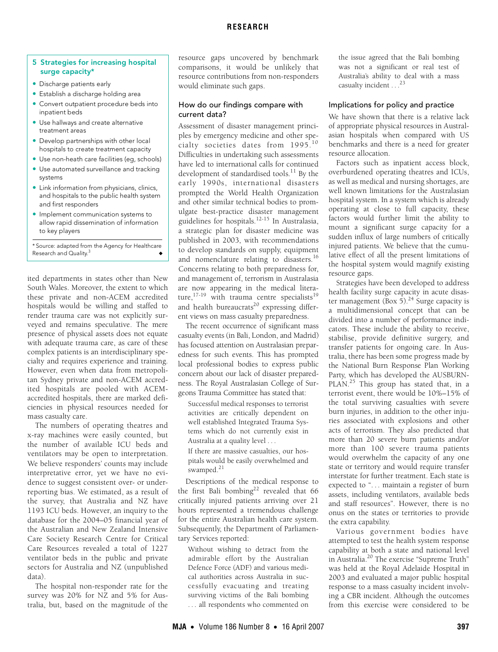## **RESEARCH**

## <span id="page-3-0"></span>5 Strategies for increasing hospital surge capacity\*

- Discharge patients early
- Establish a discharge holding area
- Convert outpatient procedure beds into inpatient beds
- Use hallways and create alternative treatment areas
- Develop partnerships with other local hospitals to create treatment capacity
- Use non-heath care facilities (eg, schools)
- Use automated surveillance and tracking systems
- Link information from physicians, clinics, and hospitals to the public health system and first responders
- Implement communication systems to allow rapid dissemination of information to key players

\* Source: adapted from the Agency for Healthcare Research and Quality.<sup>[3](#page-4-2)</sup>

ited departments in states other than New South Wales. Moreover, the extent to which these private and non-ACEM accredited hospitals would be willing and staffed to render trauma care was not explicitly surveyed and remains speculative. The mere presence of physical assets does not equate with adequate trauma care, as care of these complex patients is an interdisciplinary specialty and requires experience and training. However, even when data from metropolitan Sydney private and non-ACEM accredited hospitals are pooled with ACEMaccredited hospitals, there are marked deficiencies in physical resources needed for mass casualty care.

The numbers of operating theatres and x-ray machines were easily counted, but the number of available ICU beds and ventilators may be open to interpretation. We believe responders' counts may include interpretative error, yet we have no evidence to suggest consistent over- or underreporting bias. We estimated, as a result of the survey, that Australia and NZ have 1193 ICU beds. However, an inquiry to the database for the 2004–05 financial year of the Australian and New Zealand Intensive Care Society Research Centre for Critical Care Resources revealed a total of 1227 ventilator beds in the public and private sectors for Australia and NZ (unpublished data).

The hospital non-responder rate for the survey was 20% for NZ and 5% for Australia, but, based on the magnitude of the

resource gaps uncovered by benchmark comparisons, it would be unlikely that resource contributions from non-responders would eliminate such gaps.

## How do our findings compare with current data?

Assessment of disaster management principles by emergency medicine and other specialty societies dates from 1995.[10](#page-4-10) Difficulties in undertaking such assessments have led to international calls for continued development of standardised tools.<sup>11</sup> By the early 1990s, international disasters prompted the World Health Organization and other similar technical bodies to promulgate best-practice disaster management guidelines for hospitals.[12](#page-4-12)[-15](#page-4-13) In Australasia, a strategic plan for disaster medicine was published in 2003, with recommendations to develop standards on supply, equipment and nomenclature relating to disasters.<sup>[16](#page-4-14)</sup> Concerns relating to both preparedness for, and management of, terrorism in Australasia are now appearing in the medical literature,  $17-19$  $17-19$  with trauma centre specialists<sup>19</sup> and health bureaucrats<sup>20</sup> expressing different views on mass casualty preparedness.

The recent occurrence of significant mass casualty events (in Bali, London, and Madrid) has focused attention on Australasian preparedness for such events. This has prompted local professional bodies to express public concern about our lack of disaster preparedness. The Royal Australasian College of Surgeons Trauma Committee has stated that:

Successful medical responses to terrorist activities are critically dependent on well established Integrated Trauma Systems which do not currently exist in Australia at a quality level . . .

If there are massive casualties, our hospitals would be easily overwhelmed and swamped.<sup>[21](#page-4-18)</sup>

Descriptions of the medical response to the first Bali bombing<sup>22</sup> revealed that 66 critically injured patients arriving over 21 hours represented a tremendous challenge for the entire Australian health care system. Subsequently, the Department of Parliamentary Services reported:

Without wishing to detract from the admirable effort by the Australian Defence Force (ADF) and various medical authorities across Australia in successfully evacuating and treating surviving victims of the Bali bombing . . . all respondents who commented on

the issue agreed that the Bali bombing was not a significant or real test of Australia's ability to deal with a mass casualty incident . . . <sup>[23](#page-4-20)</sup>

# Implications for policy and practice

We have shown that there is a relative lack of appropriate physical resources in Australasian hospitals when compared with US benchmarks and there is a need for greater resource allocation.

Factors such as inpatient access block, overburdened operating theatres and ICUs, as well as medical and nursing shortages, are well known limitations for the Australasian hospital system. In a system which is already operating at close to full capacity, these factors would further limit the ability to mount a significant surge capacity for a sudden influx of large numbers of critically injured patients. We believe that the cumulative effect of all the present limitations of the hospital system would magnify existing resource gaps.

Strategies have been developed to address health facility surge capacity in acute disas-ter management [\(Box 5](#page-3-0)).<sup>24</sup> Surge capacity is a multidimensional concept that can be divided into a number of performance indicators. These include the ability to receive, stabilise, provide definitive surgery, and transfer patients for ongoing care. In Australia, there has been some progress made by the National Burn Response Plan Working Party, which has developed the AUSBURN-PLAN.<sup>25</sup> This group has stated that, in a terrorist event, there would be 10%–15% of the total surviving casualties with severe burn injuries, in addition to the other injuries associated with explosions and other acts of terrorism. They also predicted that more than 20 severe burn patients and/or more than 100 severe trauma patients would overwhelm the capacity of any one state or territory and would require transfer interstate for further treatment. Each state is expected to "... maintain a register of burn assets, including ventilators, available beds and staff resources". However, there is no onus on the states or territories to provide the extra capability.

Various government bodies have attempted to test the health system response capability at both a state and national level in Australia.[20](#page-4-17) The exercise "Supreme Truth" was held at the Royal Adelaide Hospital in 2003 and evaluated a major public hospital response to a mass casualty incident involving a CBR incident. Although the outcomes from this exercise were considered to be